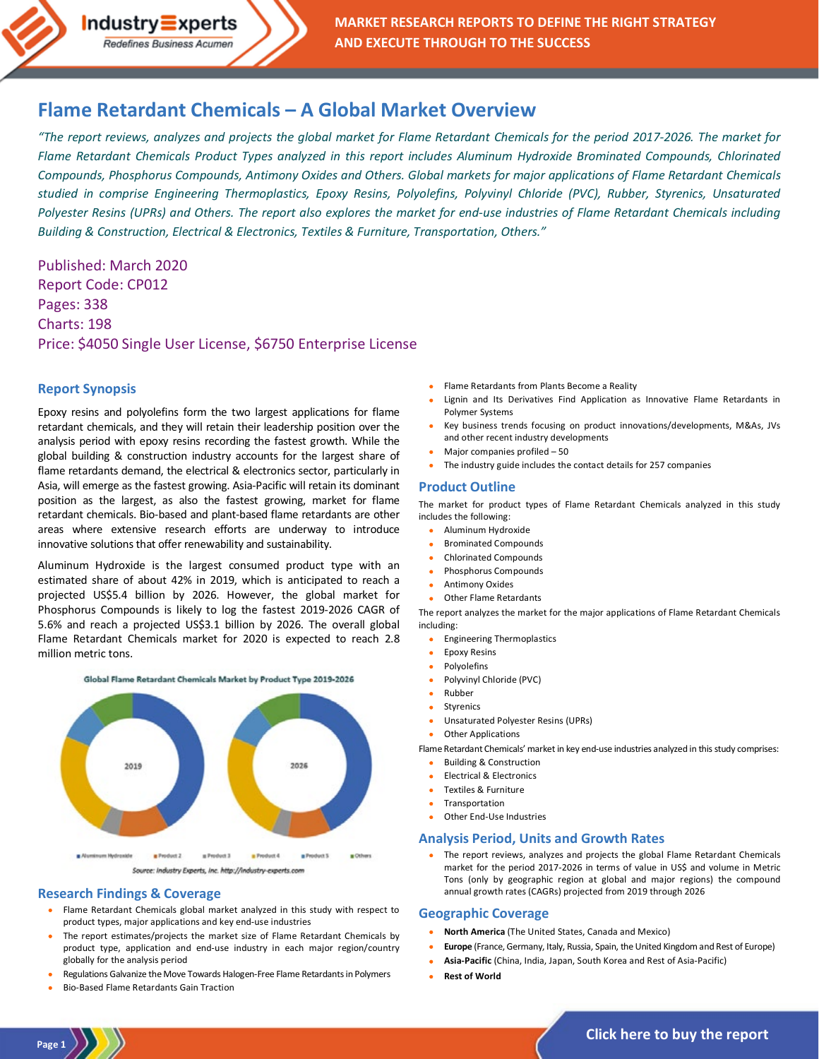# **[Flame Retardant Chemicals –](http://industry-experts.com/verticals/chemicals-and-materials/flame-retardant-chemicals-a-global-market-overview) A Global Market Overview**

*"The report reviews, analyzes and projects the global market for Flame Retardant Chemicals for the period 2017-2026. The market for Flame Retardant Chemicals Product Types analyzed in this report includes Aluminum Hydroxide Brominated Compounds, Chlorinated Compounds, Phosphorus Compounds, Antimony Oxides and Others. Global markets for major applications of Flame Retardant Chemicals studied in comprise Engineering Thermoplastics, Epoxy Resins, Polyolefins, Polyvinyl Chloride (PVC), Rubber, Styrenics, Unsaturated Polyester Resins (UPRs) and Others. The report also explores the market for end-use industries of Flame Retardant Chemicals including Building & Construction, Electrical & Electronics, Textiles & Furniture, Transportation, Others."*

Published: March 2020 Report Code: CP012 Pages: 338 Charts: 198 Price: \$4050 Single User License, \$6750 Enterprise License

#### **Report Synopsis**

Epoxy resins and polyolefins form the two largest applications for flame retardant chemicals, and they will retain their leadership position over the analysis period with epoxy resins recording the fastest growth. While the global building & construction industry accounts for the largest share of flame retardants demand, the electrical & electronics sector, particularly in Asia, will emerge as the fastest growing. Asia-Pacific will retain its dominant position as the largest, as also the fastest growing, market for flame retardant chemicals. Bio-based and plant-based flame retardants are other areas where extensive research efforts are underway to introduce innovative solutions that offer renewability and sustainability.

Aluminum Hydroxide is the largest consumed product type with an estimated share of about 42% in 2019, which is anticipated to reach a projected US\$5.4 billion by 2026. However, the global market for Phosphorus Compounds is likely to log the fastest 2019-2026 CAGR of 5.6% and reach a projected US\$3.1 billion by 2026. The overall global Flame Retardant Chemicals market for 2020 is expected to reach 2.8 million metric tons.



### **Research Findings & Coverage**

- Flame Retardant Chemicals global market analyzed in this study with respect to product types, major applications and key end-use industries
- The report estimates/projects the market size of Flame Retardant Chemicals by product type, application and end-use industry in each major region/country globally for the analysis period
- Regulations Galvanize the Move Towards Halogen-Free Flame Retardants in Polymers
- Bio-Based Flame Retardants Gain Traction

**Page 1**

- Flame Retardants from Plants Become a Reality
- Lignin and Its Derivatives Find Application as Innovative Flame Retardants in Polymer Systems
- Key business trends focusing on product innovations/developments, M&As, JVs and other recent industry developments
- Major companies profiled 50
- The industry guide includes the contact details for 257 companies

#### **Product Outline**

The market for product types of Flame Retardant Chemicals analyzed in this study includes the following:

- Aluminum Hydroxide
- Brominated Compounds
- Chlorinated Compounds
- Phosphorus Compounds
- Antimony Oxides
- Other Flame Retardants

The report analyzes the market for the major applications of Flame Retardant Chemicals including:

- Engineering Thermoplastics
- Epoxy Resins
- **Polyolefins**
- Polyvinyl Chloride (PVC)
- Rubber
- **Styrenics**
- Unsaturated Polyester Resins (UPRs)
- **Other Applications**

Flame Retardant Chemicals' market in key end-use industries analyzed in this study comprises:

- Building & Construction
- Electrical & Electronics
- Textiles & Furniture
- **Transportation**
- Other End-Use Industries

#### **Analysis Period, Units and Growth Rates**

• The report reviews, analyzes and projects the global Flame Retardant Chemicals market for the period 2017-2026 in terms of value in US\$ and volume in Metric Tons (only by geographic region at global and major regions) the compound annual growth rates (CAGRs) projected from 2019 through 2026

#### **Geographic Coverage**

- **North America** (The United States, Canada and Mexico)
- **Europe** (France, Germany, Italy, Russia, Spain, the United Kingdom and Rest of Europe)
- **Asia-Pacific** (China, India, Japan, South Korea and Rest of Asia-Pacific)
- **Rest of World**

**[Click here to buy the report](http://industry-experts.com/verticals/chemicals-and-materials/flame-retardant-chemicals-a-global-market-overview)**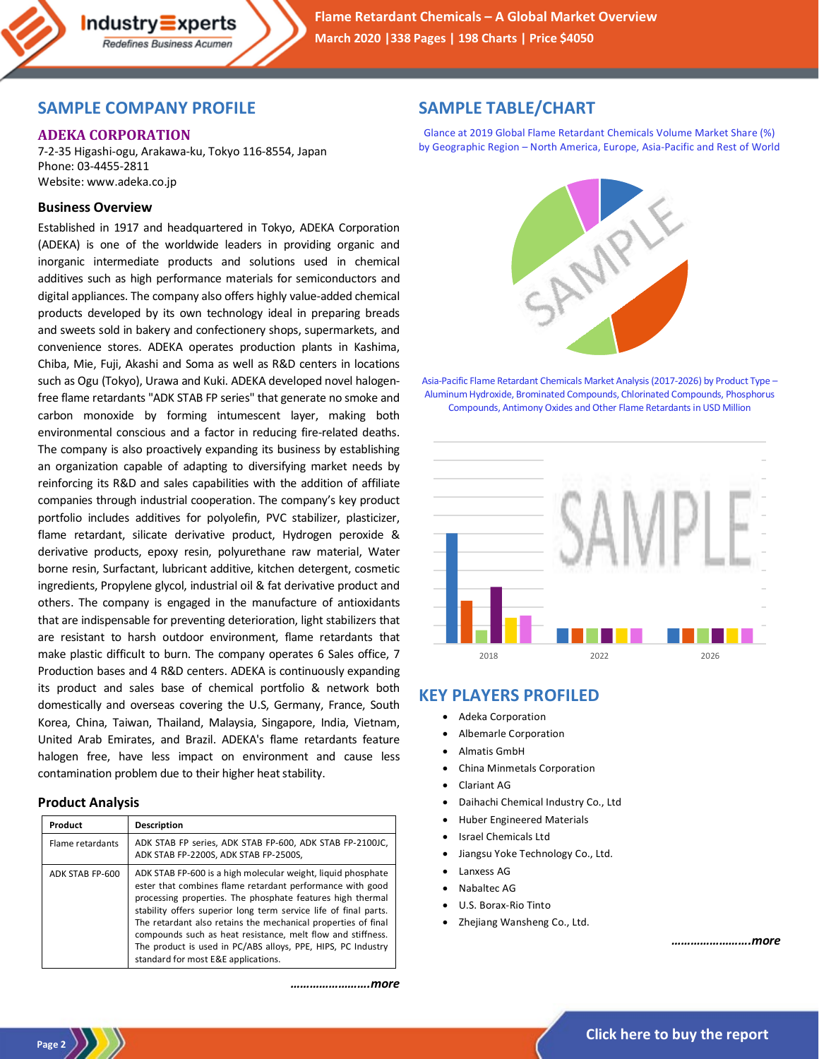## **SAMPLE COMPANY PROFILE**

 $Industry\equiv xperts$ Redefines Business Acumen

### **ADEKA CORPORATION**

7-2-35 Higashi-ogu, Arakawa-ku, Tokyo 116-8554, Japan Phone: 03-4455-2811 Website: www.adeka.co.jp

### **Business Overview**

Established in 1917 and headquartered in Tokyo, ADEKA Corporation (ADEKA) is one of the worldwide leaders in providing organic and inorganic intermediate products and solutions used in chemical additives such as high performance materials for semiconductors and digital appliances. The company also offers highly value-added chemical products developed by its own technology ideal in preparing breads and sweets sold in bakery and confectionery shops, supermarkets, and convenience stores. ADEKA operates production plants in Kashima, Chiba, Mie, Fuji, Akashi and Soma as well as R&D centers in locations such as Ogu (Tokyo), Urawa and Kuki. ADEKA developed novel halogenfree flame retardants "ADK STAB FP series" that generate no smoke and carbon monoxide by forming intumescent layer, making both environmental conscious and a factor in reducing fire-related deaths. The company is also proactively expanding its business by establishing an organization capable of adapting to diversifying market needs by reinforcing its R&D and sales capabilities with the addition of affiliate companies through industrial cooperation. The company's key product portfolio includes additives for polyolefin, PVC stabilizer, plasticizer, flame retardant, silicate derivative product, Hydrogen peroxide & derivative products, epoxy resin, polyurethane raw material, Water borne resin, Surfactant, lubricant additive, kitchen detergent, cosmetic ingredients, Propylene glycol, industrial oil & fat derivative product and others. The company is engaged in the manufacture of antioxidants that are indispensable for preventing deterioration, light stabilizers that are resistant to harsh outdoor environment, flame retardants that make plastic difficult to burn. The company operates 6 Sales office, 7 Production bases and 4 R&D centers. ADEKA is continuously expanding its product and sales base of chemical portfolio & network both domestically and overseas covering the U.S, Germany, France, South Korea, China, Taiwan, Thailand, Malaysia, Singapore, India, Vietnam, United Arab Emirates, and Brazil. ADEKA's flame retardants feature halogen free, have less impact on environment and cause less contamination problem due to their higher heat stability.

#### **Product Analysis**

| Product          | Description                                                                                                                                                                                                                                                                                                                                                                                                                                                                                        |
|------------------|----------------------------------------------------------------------------------------------------------------------------------------------------------------------------------------------------------------------------------------------------------------------------------------------------------------------------------------------------------------------------------------------------------------------------------------------------------------------------------------------------|
| Flame retardants | ADK STAB FP series, ADK STAB FP-600, ADK STAB FP-2100JC,<br>ADK STAB FP-2200S, ADK STAB FP-2500S,                                                                                                                                                                                                                                                                                                                                                                                                  |
| ADK STAB FP-600  | ADK STAB FP-600 is a high molecular weight, liquid phosphate<br>ester that combines flame retardant performance with good<br>processing properties. The phosphate features high thermal<br>stability offers superior long term service life of final parts.<br>The retardant also retains the mechanical properties of final<br>compounds such as heat resistance, melt flow and stiffness.<br>The product is used in PC/ABS alloys, PPE, HIPS, PC Industry<br>standard for most E&E applications. |

*…………………….more*

## **SAMPLE TABLE/CHART**

Glance at 2019 Global Flame Retardant Chemicals Volume Market Share (%) by Geographic Region – North America, Europe, Asia-Pacific and Rest of World



Asia-Pacific Flame Retardant Chemicals Market Analysis (2017-2026) by Product Type – Aluminum Hydroxide, Brominated Compounds, Chlorinated Compounds, Phosphorus Compounds, Antimony Oxides and Other Flame Retardants in USD Million



## **KEY PLAYERS PROFILED**

- Adeka Corporation
- Albemarle Corporation
- Almatis GmbH
- China Minmetals Corporation
- Clariant AG
- Daihachi Chemical Industry Co., Ltd
- Huber Engineered Materials
- Israel Chemicals Ltd
- Jiangsu Yoke Technology Co., Ltd.
- Lanxess AG
- Nabaltec AG
- U.S. Borax-Rio Tinto
- Zhejiang Wansheng Co., Ltd.

*…………………….more*

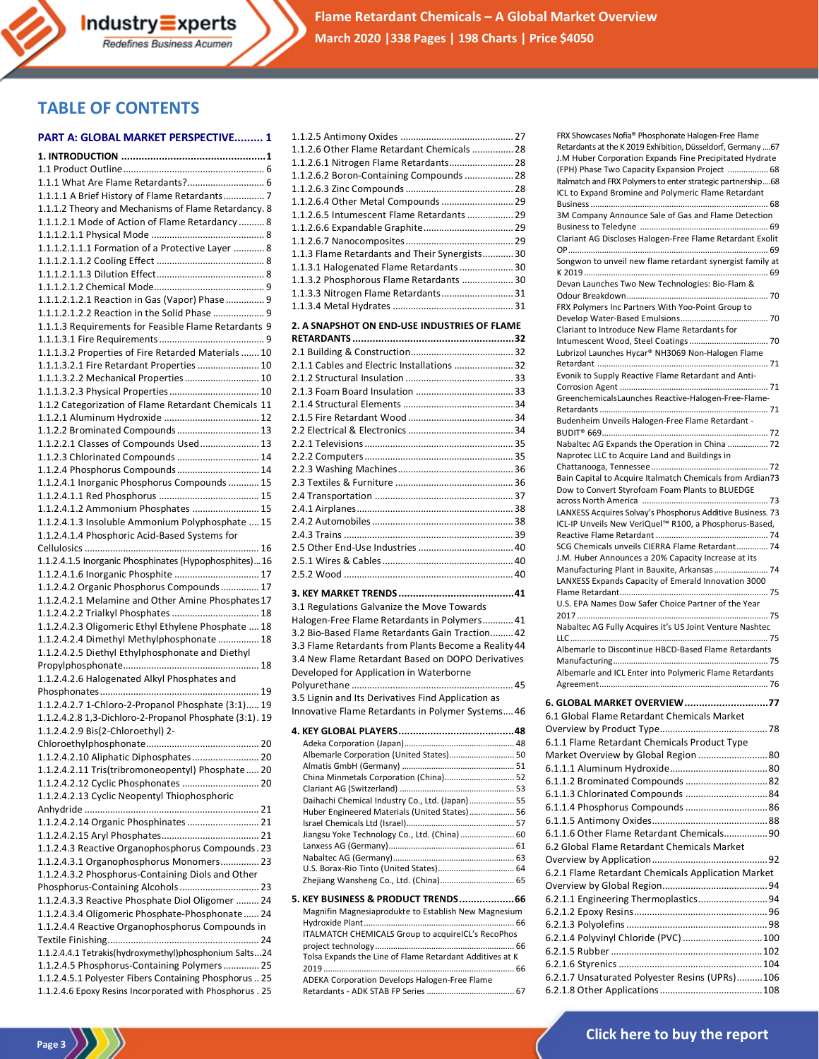# **TABLE OF CONTENTS**

#### **PART A: GLOBAL MARKET PERSPECTIVE......... 1**

| 1.1.1 What Are Flame Retardants? 6                       |
|----------------------------------------------------------|
| 1.1.1.1 A Brief History of Flame Retardants 7            |
| 1.1.1.2 Theory and Mechanisms of Flame Retardancy. 8     |
| 1.1.1.2.1 Mode of Action of Flame Retardancy  8          |
|                                                          |
| 1.1.1.2.1.1.1 Formation of a Protective Layer  8         |
|                                                          |
|                                                          |
|                                                          |
| 1.1.1.2.1.2.1 Reaction in Gas (Vapor) Phase  9           |
| 1.1.1.2.1.2.2 Reaction in the Solid Phase  9             |
| 1.1.1.3 Requirements for Feasible Flame Retardants 9     |
|                                                          |
| 1.1.1.3.2 Properties of Fire Retarded Materials  10      |
| 1.1.1.3.2.1 Fire Retardant Properties  10                |
| 1.1.1.3.2.2 Mechanical Properties  10                    |
|                                                          |
| 1.1.2 Categorization of Flame Retardant Chemicals 11     |
|                                                          |
| 1.1.2.2 Brominated Compounds  13                         |
| 1.1.2.2.1 Classes of Compounds Used 13                   |
| 1.1.2.3 Chlorinated Compounds  14                        |
| 1.1.2.4 Phosphorus Compounds  14                         |
| 1.1.2.4.1 Inorganic Phosphorus Compounds  15             |
|                                                          |
| 1.1.2.4.1.2 Ammonium Phosphates  15                      |
| 1.1.2.4.1.3 Insoluble Ammonium Polyphosphate  15         |
| 1.1.2.4.1.4 Phosphoric Acid-Based Systems for            |
|                                                          |
| 1.1.2.4.1.5 Inorganic Phosphinates (Hypophosphites)16    |
| 1.1.2.4.1.6 Inorganic Phosphite  17                      |
| 1.1.2.4.2 Organic Phosphorus Compounds 17                |
| 1.1.2.4.2.1 Melamine and Other Amine Phosphates 17       |
| 1.1.2.4.2.2 Trialkyl Phosphates  18                      |
| 1.1.2.4.2.3 Oligomeric Ethyl Ethylene Phosphate  18      |
| 1.1.2.4.2.4 Dimethyl Methylphosphonate  18               |
| 1.1.2.4.2.5 Diethyl Ethylphosphonate and Diethyl         |
| 1.1.2.4.2.6 Halogenated Alkyl Phosphates and             |
|                                                          |
| 1.1.2.4.2.7 1-Chloro-2-Propanol Phosphate (3:1) 19       |
| 1.1.2.4.2.8 1,3-Dichloro-2-Propanol Phosphate (3:1). 19  |
| 1.1.2.4.2.9 Bis(2-Chloroethyl) 2-                        |
|                                                          |
| 1.1.2.4.2.10 Aliphatic Diphosphates  20                  |
| 1.1.2.4.2.11 Tris(tribromoneopentyl) Phosphate  20       |
| 1.1.2.4.2.12 Cyclic Phosphonates  20                     |
| 1.1.2.4.2.13 Cyclic Neopentyl Thiophosphoric             |
|                                                          |
| 1.1.2.4.2.14 Organic Phosphinates  21                    |
|                                                          |
| 1.1.2.4.3 Reactive Organophosphorus Compounds.23         |
| 1.1.2.4.3.1 Organophosphorus Monomers 23                 |
| 1.1.2.4.3.2 Phosphorus-Containing Diols and Other        |
| Phosphorus-Containing Alcohols 23                        |
| 1.1.2.4.3.3 Reactive Phosphate Diol Oligomer  24         |
| 1.1.2.4.3.4 Oligomeric Phosphate-Phosphonate  24         |
| 1.1.2.4.4 Reactive Organophosphorus Compounds in         |
|                                                          |
| 1.1.2.4.4.1 Tetrakis(hydroxymethyl)phosphonium Salts24   |
| 1.1.2.4.5 Phosphorus-Containing Polymers  25             |
| 1.1.2.4.5.1 Polyester Fibers Containing Phosphorus  25   |
| 1.1.2.4.6 Epoxy Resins Incorporated with Phosphorus . 25 |
|                                                          |

| 1.1.2.6 Other Flame Retardant Chemicals  28                                                                                                                                                                  |    |
|--------------------------------------------------------------------------------------------------------------------------------------------------------------------------------------------------------------|----|
| 1.1.2.6.1 Nitrogen Flame Retardants 28                                                                                                                                                                       |    |
| 1.1.2.6.2 Boron-Containing Compounds  28                                                                                                                                                                     |    |
|                                                                                                                                                                                                              |    |
| 1.1.2.6.4 Other Metal Compounds  29                                                                                                                                                                          |    |
| 1.1.2.6.5 Intumescent Flame Retardants  29                                                                                                                                                                   |    |
|                                                                                                                                                                                                              |    |
|                                                                                                                                                                                                              |    |
| 1.1.3 Flame Retardants and Their Synergists 30                                                                                                                                                               |    |
| 1.1.3.1 Halogenated Flame Retardants  30                                                                                                                                                                     |    |
| 1.1.3.2 Phosphorous Flame Retardants  30                                                                                                                                                                     |    |
|                                                                                                                                                                                                              |    |
| 1.1.3.3 Nitrogen Flame Retardants 31                                                                                                                                                                         |    |
|                                                                                                                                                                                                              |    |
| 2. A SNAPSHOT ON END-USE INDUSTRIES OF FLAME                                                                                                                                                                 |    |
|                                                                                                                                                                                                              |    |
|                                                                                                                                                                                                              |    |
| 2.1.1 Cables and Electric Installations  32                                                                                                                                                                  |    |
|                                                                                                                                                                                                              |    |
|                                                                                                                                                                                                              |    |
|                                                                                                                                                                                                              |    |
|                                                                                                                                                                                                              |    |
|                                                                                                                                                                                                              |    |
|                                                                                                                                                                                                              |    |
|                                                                                                                                                                                                              |    |
|                                                                                                                                                                                                              |    |
|                                                                                                                                                                                                              |    |
|                                                                                                                                                                                                              |    |
|                                                                                                                                                                                                              |    |
|                                                                                                                                                                                                              |    |
|                                                                                                                                                                                                              |    |
|                                                                                                                                                                                                              |    |
|                                                                                                                                                                                                              |    |
|                                                                                                                                                                                                              |    |
|                                                                                                                                                                                                              |    |
|                                                                                                                                                                                                              |    |
|                                                                                                                                                                                                              |    |
|                                                                                                                                                                                                              |    |
| 3.1 Regulations Galvanize the Move Towards                                                                                                                                                                   |    |
|                                                                                                                                                                                                              |    |
|                                                                                                                                                                                                              |    |
|                                                                                                                                                                                                              |    |
| Halogen-Free Flame Retardants in Polymers 41<br>3.2 Bio-Based Flame Retardants Gain Traction 42<br>3.3 Flame Retardants from Plants Become a Reality 44<br>3.4 New Flame Retardant Based on DOPO Derivatives |    |
| Developed for Application in Waterborne                                                                                                                                                                      |    |
|                                                                                                                                                                                                              |    |
| 3.5 Lignin and Its Derivatives Find Application as                                                                                                                                                           |    |
|                                                                                                                                                                                                              |    |
| Innovative Flame Retardants in Polymer Systems 46                                                                                                                                                            |    |
| 4. KEY GI ORAI PI AVERS                                                                                                                                                                                      | 48 |
|                                                                                                                                                                                                              |    |
| Albemarle Corporation (United States) 50                                                                                                                                                                     |    |
|                                                                                                                                                                                                              |    |
| China Minmetals Corporation (China) 52                                                                                                                                                                       |    |
|                                                                                                                                                                                                              |    |
| Daihachi Chemical Industry Co., Ltd. (Japan) 55                                                                                                                                                              |    |
| Huber Engineered Materials (United States) 56                                                                                                                                                                |    |
|                                                                                                                                                                                                              |    |
| Jiangsu Yoke Technology Co., Ltd. (China)  60                                                                                                                                                                |    |
|                                                                                                                                                                                                              |    |
| U.S. Borax-Rio Tinto (United States) 64                                                                                                                                                                      |    |
| Zhejiang Wansheng Co., Ltd. (China) 65                                                                                                                                                                       |    |
|                                                                                                                                                                                                              |    |
|                                                                                                                                                                                                              |    |
| Magnifin Magnesiaprodukte to Establish New Magnesium                                                                                                                                                         |    |
| ITALMATCH CHEMICALS Group to acquireICL's RecoPhos                                                                                                                                                           |    |
|                                                                                                                                                                                                              |    |
| Tolsa Expands the Line of Flame Retardant Additives at K                                                                                                                                                     |    |
|                                                                                                                                                                                                              |    |
| 5. KEY BUSINESS & PRODUCT TRENDS 66<br>ADEKA Corporation Develops Halogen-Free Flame                                                                                                                         |    |

| Retardants at the K 2019 Exhibition, Düsseldorf, Germany  67<br>J.M Huber Corporation Expands Fine Precipitated Hydrate<br>(FPH) Phase Two Capacity Expansion Project  68<br>Italmatch and FRX Polymers to enter strategic partnership68<br>ICL to Expand Bromine and Polymeric Flame Retardant |
|-------------------------------------------------------------------------------------------------------------------------------------------------------------------------------------------------------------------------------------------------------------------------------------------------|
|                                                                                                                                                                                                                                                                                                 |
|                                                                                                                                                                                                                                                                                                 |
|                                                                                                                                                                                                                                                                                                 |
|                                                                                                                                                                                                                                                                                                 |
|                                                                                                                                                                                                                                                                                                 |
| 3M Company Announce Sale of Gas and Flame Detection                                                                                                                                                                                                                                             |
|                                                                                                                                                                                                                                                                                                 |
| Clariant AG Discloses Halogen-Free Flame Retardant Exolit                                                                                                                                                                                                                                       |
|                                                                                                                                                                                                                                                                                                 |
| Songwon to unveil new flame retardant synergist family at                                                                                                                                                                                                                                       |
|                                                                                                                                                                                                                                                                                                 |
| Devan Launches Two New Technologies: Bio-Flam &                                                                                                                                                                                                                                                 |
| FRX Polymers Inc Partners With Yoo-Point Group to                                                                                                                                                                                                                                               |
|                                                                                                                                                                                                                                                                                                 |
| Clariant to Introduce New Flame Retardants for                                                                                                                                                                                                                                                  |
|                                                                                                                                                                                                                                                                                                 |
| Lubrizol Launches Hycar® NH3069 Non-Halogen Flame                                                                                                                                                                                                                                               |
|                                                                                                                                                                                                                                                                                                 |
| Evonik to Supply Reactive Flame Retardant and Anti-                                                                                                                                                                                                                                             |
| GreenchemicalsLaunches Reactive-Halogen-Free-Flame-                                                                                                                                                                                                                                             |
|                                                                                                                                                                                                                                                                                                 |
| Budenheim Unveils Halogen-Free Flame Retardant -                                                                                                                                                                                                                                                |
|                                                                                                                                                                                                                                                                                                 |
| Nabaltec AG Expands the Operation in China  72                                                                                                                                                                                                                                                  |
| Naprotec LLC to Acquire Land and Buildings in                                                                                                                                                                                                                                                   |
|                                                                                                                                                                                                                                                                                                 |
| Bain Capital to Acquire Italmatch Chemicals from Ardian73<br>Dow to Convert Styrofoam Foam Plants to BLUEDGE                                                                                                                                                                                    |
|                                                                                                                                                                                                                                                                                                 |
| LANXESS Acquires Solvay's Phosphorus Additive Business. 73                                                                                                                                                                                                                                      |
| ICL-IP Unveils New VeriQuel™ R100, a Phosphorus-Based,                                                                                                                                                                                                                                          |
|                                                                                                                                                                                                                                                                                                 |
| SCG Chemicals unveils CIERRA Flame Retardant 74                                                                                                                                                                                                                                                 |
| J.M. Huber Announces a 20% Capacity Increase at its<br>Manufacturing Plant in Bauxite, Arkansas 74                                                                                                                                                                                              |
| LANXESS Expands Capacity of Emerald Innovation 3000                                                                                                                                                                                                                                             |
|                                                                                                                                                                                                                                                                                                 |
|                                                                                                                                                                                                                                                                                                 |
| U.S. EPA Names Dow Safer Choice Partner of the Year                                                                                                                                                                                                                                             |
|                                                                                                                                                                                                                                                                                                 |
| Nabaltec AG Fully Acquires it's US Joint Venture Nashtec                                                                                                                                                                                                                                        |
|                                                                                                                                                                                                                                                                                                 |
| Albemarle to Discontinue HBCD-Based Flame Retardants                                                                                                                                                                                                                                            |
|                                                                                                                                                                                                                                                                                                 |
| Albemarle and ICL Enter into Polymeric Flame Retardants                                                                                                                                                                                                                                         |
|                                                                                                                                                                                                                                                                                                 |
| 6. GLOBAL MARKET OVERVIEW 77                                                                                                                                                                                                                                                                    |
|                                                                                                                                                                                                                                                                                                 |
|                                                                                                                                                                                                                                                                                                 |
|                                                                                                                                                                                                                                                                                                 |
|                                                                                                                                                                                                                                                                                                 |
| 6.1 Global Flame Retardant Chemicals Market<br>6.1.1 Flame Retardant Chemicals Product Type<br>Market Overview by Global Region  80                                                                                                                                                             |
|                                                                                                                                                                                                                                                                                                 |
|                                                                                                                                                                                                                                                                                                 |
|                                                                                                                                                                                                                                                                                                 |
|                                                                                                                                                                                                                                                                                                 |
|                                                                                                                                                                                                                                                                                                 |
|                                                                                                                                                                                                                                                                                                 |
|                                                                                                                                                                                                                                                                                                 |
|                                                                                                                                                                                                                                                                                                 |
| 6.1.1.4 Phosphorus Compounds  86<br>6.1.1.6 Other Flame Retardant Chemicals90<br>6.2 Global Flame Retardant Chemicals Market<br>6.2.1 Flame Retardant Chemicals Application Market                                                                                                              |
|                                                                                                                                                                                                                                                                                                 |
|                                                                                                                                                                                                                                                                                                 |
|                                                                                                                                                                                                                                                                                                 |
| 6.2.1.1 Engineering Thermoplastics 94<br>6.2.1.4 Polyvinyl Chloride (PVC) 100                                                                                                                                                                                                                   |
|                                                                                                                                                                                                                                                                                                 |
| 6.2.1.7 Unsaturated Polyester Resins (UPRs)106                                                                                                                                                                                                                                                  |

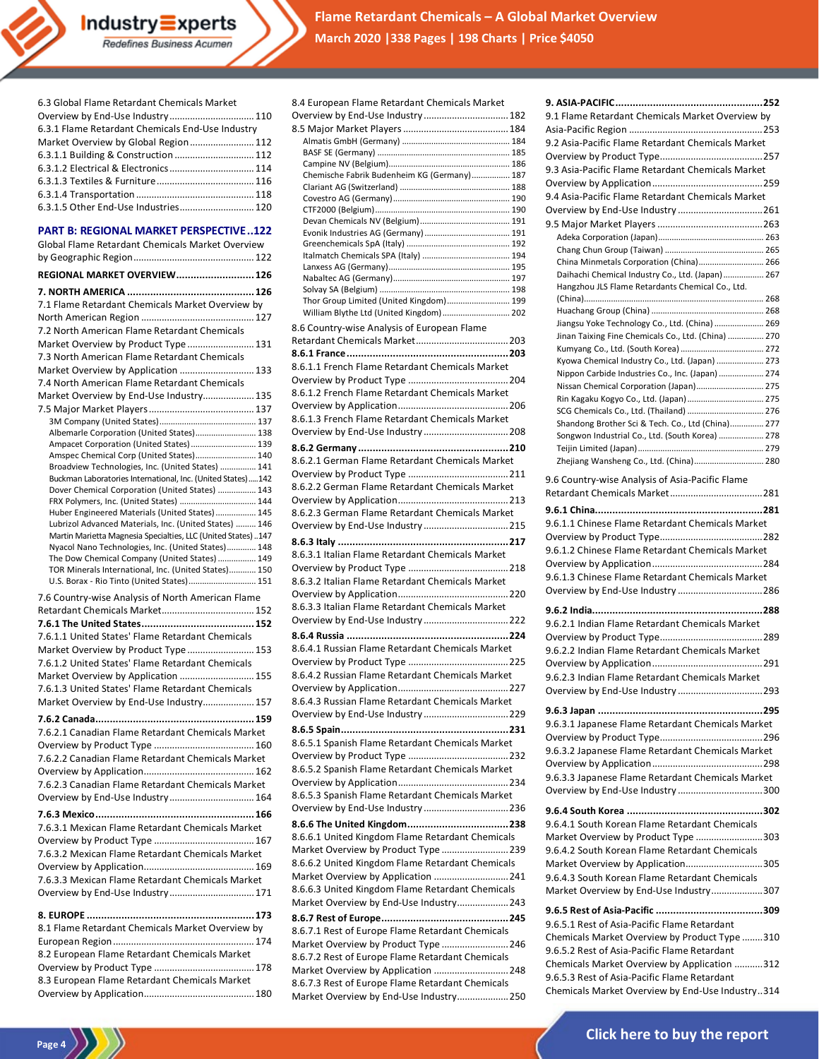**Flame Retardant Chemicals – A Global Market Overview March 2020 |338 Pages | 198 Charts | Price \$4050**

| Market Overview by Global Region 112                                                                     |  |
|----------------------------------------------------------------------------------------------------------|--|
| 6.3.1.1 Building & Construction  112                                                                     |  |
| 6.3.1.2 Electrical & Electronics 114                                                                     |  |
|                                                                                                          |  |
|                                                                                                          |  |
| 6.3.1.5 Other End-Use Industries 120                                                                     |  |
| <b>PART B: REGIONAL MARKET PERSPECTIVE122</b>                                                            |  |
| Global Flame Retardant Chemicals Market Overview                                                         |  |
|                                                                                                          |  |
| <b>REGIONAL MARKET OVERVIEW 126</b>                                                                      |  |
|                                                                                                          |  |
| 7.1 Flame Retardant Chemicals Market Overview by                                                         |  |
|                                                                                                          |  |
| 7.2 North American Flame Retardant Chemicals                                                             |  |
| Market Overview by Product Type 131                                                                      |  |
| 7.3 North American Flame Retardant Chemicals                                                             |  |
| Market Overview by Application  133                                                                      |  |
| 7.4 North American Flame Retardant Chemicals                                                             |  |
| Market Overview by End-Use Industry 135                                                                  |  |
|                                                                                                          |  |
|                                                                                                          |  |
| Albemarle Corporation (United States) 138                                                                |  |
| Ampacet Corporation (United States)  139<br>Amspec Chemical Corp (United States) 140                     |  |
| Broadview Technologies, Inc. (United States)  141                                                        |  |
| Buckman Laboratories International, Inc. (United States)142                                              |  |
| Dover Chemical Corporation (United States)  143                                                          |  |
| FRX Polymers, Inc. (United States)  144                                                                  |  |
| Huber Engineered Materials (United States) 145<br>Lubrizol Advanced Materials, Inc. (United States)  146 |  |
| Martin Marietta Magnesia Specialties, LLC (United States) 147                                            |  |
| Nyacol Nano Technologies, Inc. (United States) 148                                                       |  |
| The Dow Chemical Company (United States)  149                                                            |  |
| TOR Minerals International, Inc. (United States) 150<br>U.S. Borax - Rio Tinto (United States) 151       |  |
|                                                                                                          |  |
| 7.6 Country-wise Analysis of North American Flame                                                        |  |
|                                                                                                          |  |
| 7.6.1.1 United States' Flame Retardant Chemicals                                                         |  |
| Market Overview by Product Type  153                                                                     |  |
| 7.6.1.2 United States' Flame Retardant Chemicals                                                         |  |
| Market Overview by Application  155                                                                      |  |
| 7.6.1.3 United States' Flame Retardant Chemicals                                                         |  |
| Market Overview by End-Use Industry 157                                                                  |  |
|                                                                                                          |  |
| 7.6.2.1 Canadian Flame Retardant Chemicals Market                                                        |  |
|                                                                                                          |  |
| 7.6.2.2 Canadian Flame Retardant Chemicals Market                                                        |  |
|                                                                                                          |  |
| 7.6.2.3 Canadian Flame Retardant Chemicals Market                                                        |  |
| Overview by End-Use Industry 164                                                                         |  |
|                                                                                                          |  |
| 7.6.3.1 Mexican Flame Retardant Chemicals Market                                                         |  |
|                                                                                                          |  |
| 7.6.3.2 Mexican Flame Retardant Chemicals Market                                                         |  |
|                                                                                                          |  |
| 7.6.3.3 Mexican Flame Retardant Chemicals Market                                                         |  |
| Overview by End-Use Industry 171                                                                         |  |
|                                                                                                          |  |
| 8.1 Flame Retardant Chemicals Market Overview by                                                         |  |
|                                                                                                          |  |
| 8.2 European Flame Retardant Chemicals Market                                                            |  |
|                                                                                                          |  |
| 8.3 European Flame Retardant Chemicals Market                                                            |  |
|                                                                                                          |  |

6.3 Global Flame Retardant Chemicals Market Overview by End-Use Industry.................................110 6.3.1 Flame Retardant Chemicals End-Use Industry

Industry Experts Redefines Business Acumen

**Page 4**

| 8.4 European Flame Retardant Chemicals Market                                            |
|------------------------------------------------------------------------------------------|
| Overview by End-Use Industry  182                                                        |
|                                                                                          |
|                                                                                          |
|                                                                                          |
| Chemische Fabrik Budenheim KG (Germany) 187                                              |
|                                                                                          |
|                                                                                          |
|                                                                                          |
|                                                                                          |
|                                                                                          |
|                                                                                          |
|                                                                                          |
| Thor Group Limited (United Kingdom) 199                                                  |
| William Blythe Ltd (United Kingdom)  202<br>8.6 Country-wise Analysis of European Flame  |
|                                                                                          |
|                                                                                          |
| 8.6.1.1 French Flame Retardant Chemicals Market                                          |
|                                                                                          |
| 8.6.1.2 French Flame Retardant Chemicals Market                                          |
| 8.6.1.3 French Flame Retardant Chemicals Market                                          |
| Overview by End-Use Industry  208                                                        |
|                                                                                          |
| 8.6.2.1 German Flame Retardant Chemicals Market                                          |
|                                                                                          |
| 8.6.2.2 German Flame Retardant Chemicals Market                                          |
|                                                                                          |
| 8.6.2.3 German Flame Retardant Chemicals Market<br>Overview by End-Use Industry 215      |
|                                                                                          |
| 8.6.3.1 Italian Flame Retardant Chemicals Market                                         |
|                                                                                          |
| 8.6.3.2 Italian Flame Retardant Chemicals Market                                         |
|                                                                                          |
| 8.6.3.3 Italian Flame Retardant Chemicals Market<br>Overview by End-Use Industry 222     |
|                                                                                          |
| 8.6.4.1 Russian Flame Retardant Chemicals Market                                         |
|                                                                                          |
| 8.6.4.2 Russian Flame Retardant Chemicals Market                                         |
|                                                                                          |
| 8.6.4.3 Russian Flame Retardant Chemicals Market                                         |
| Overview by End-Use Industry 229                                                         |
| 8.6.5.1 Spanish Flame Retardant Chemicals Market                                         |
|                                                                                          |
| 8.6.5.2 Spanish Flame Retardant Chemicals Market                                         |
|                                                                                          |
| 8.6.5.3 Spanish Flame Retardant Chemicals Market                                         |
| Overview by End-Use Industry 236                                                         |
| 8.6.6.1 United Kingdom Flame Retardant Chemicals                                         |
| Market Overview by Product Type  239                                                     |
| 8.6.6.2 United Kingdom Flame Retardant Chemicals                                         |
| Market Overview by Application  241                                                      |
| 8.6.6.3 United Kingdom Flame Retardant Chemicals                                         |
| Market Overview by End-Use Industry243                                                   |
|                                                                                          |
| 8.6.7.1 Rest of Europe Flame Retardant Chemicals<br>Market Overview by Product Type  246 |
| 8.6.7.2 Rest of Europe Flame Retardant Chemicals                                         |
| Market Overview by Application  248                                                      |
| 8.6.7.3 Rest of Europe Flame Retardant Chemicals                                         |
| Market Overview by End-Use Industry250                                                   |

| 9.1 Flame Retardant Chemicals Market Overview by                                                     |
|------------------------------------------------------------------------------------------------------|
| 9.2 Asia-Pacific Flame Retardant Chemicals Market                                                    |
| 9.3 Asia-Pacific Flame Retardant Chemicals Market                                                    |
| 9.4 Asia-Pacific Flame Retardant Chemicals Market                                                    |
|                                                                                                      |
|                                                                                                      |
|                                                                                                      |
|                                                                                                      |
| China Minmetals Corporation (China) 266<br>Daihachi Chemical Industry Co., Ltd. (Japan) 267          |
| Hangzhou JLS Flame Retardants Chemical Co., Ltd.                                                     |
|                                                                                                      |
| Jiangsu Yoke Technology Co., Ltd. (China)  269                                                       |
| Jinan Taixing Fine Chemicals Co., Ltd. (China)  270                                                  |
| Kyowa Chemical Industry Co., Ltd. (Japan)  273                                                       |
| Nippon Carbide Industries Co., Inc. (Japan)  274                                                     |
| Nissan Chemical Corporation (Japan) 275                                                              |
| Rin Kagaku Kogyo Co., Ltd. (Japan)  275                                                              |
| SCG Chemicals Co., Ltd. (Thailand)  276                                                              |
| Shandong Brother Sci & Tech. Co., Ltd (China) 277<br>Songwon Industrial Co., Ltd. (South Korea)  278 |
|                                                                                                      |
| Zhejiang Wansheng Co., Ltd. (China) 280                                                              |
| 9.6 Country-wise Analysis of Asia-Pacific Flame                                                      |
|                                                                                                      |
| 9.6.1.1 Chinese Flame Retardant Chemicals Market                                                     |
|                                                                                                      |
| 9.6.1.2 Chinese Flame Retardant Chemicals Market                                                     |
|                                                                                                      |
| 9.6.1.3 Chinese Flame Retardant Chemicals Market                                                     |
| Overview by End-Use Industry  286                                                                    |
|                                                                                                      |
| 9.6.2.1 Indian Flame Retardant Chemicals Market                                                      |
|                                                                                                      |
| 9.6.2.2 Indian Flame Retardant Chemicals Market                                                      |
| 9.6.2.3 Indian Flame Retardant Chemicals Market                                                      |
|                                                                                                      |
|                                                                                                      |
| 9.6.3.1 Japanese Flame Retardant Chemicals Market                                                    |
|                                                                                                      |
| 9.6.3.2 Japanese Flame Retardant Chemicals Market                                                    |
|                                                                                                      |
| 9.6.3.3 Japanese Flame Retardant Chemicals Market                                                    |
|                                                                                                      |
|                                                                                                      |
| 9.6.4.1 South Korean Flame Retardant Chemicals                                                       |
| Market Overview by Product Type 303                                                                  |
| 9.6.4.2 South Korean Flame Retardant Chemicals                                                       |
| Market Overview by Application305<br>9.6.4.3 South Korean Flame Retardant Chemicals                  |
| Market Overview by End-Use Industry307                                                               |
|                                                                                                      |
| 9.6.5.1 Rest of Asia-Pacific Flame Retardant                                                         |
| Chemicals Market Overview by Product Type 310                                                        |
| 9.6.5.2 Rest of Asia-Pacific Flame Retardant                                                         |
| Chemicals Market Overview by Application 312                                                         |
| 9.6.5.3 Rest of Asia-Pacific Flame Retardant                                                         |
| Chemicals Market Overview by End-Use Industry314                                                     |